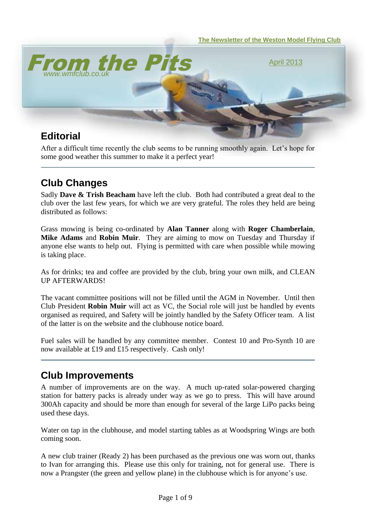

After a difficult time recently the club seems to be running smoothly again. Let's hope for some good weather this summer to make it a perfect year!

# **Club Changes**

Sadly **Dave & Trish Beacham** have left the club. Both had contributed a great deal to the club over the last few years, for which we are very grateful. The roles they held are being distributed as follows:

Grass mowing is being co-ordinated by **Alan Tanner** along with **Roger Chamberlain**, **Mike Adams** and **Robin Muir**. They are aiming to mow on Tuesday and Thursday if anyone else wants to help out. Flying is permitted with care when possible while mowing is taking place.

As for drinks; tea and coffee are provided by the club, bring your own milk, and CLEAN UP AFTERWARDS!

The vacant committee positions will not be filled until the AGM in November. Until then Club President **Robin Muir** will act as VC, the Social role will just be handled by events organised as required, and Safety will be jointly handled by the Safety Officer team. A list of the latter is on the website and the clubhouse notice board.

Fuel sales will be handled by any committee member. Contest 10 and Pro-Synth 10 are now available at £19 and £15 respectively. Cash only!

### **Club Improvements**

A number of improvements are on the way. A much up-rated solar-powered charging station for battery packs is already under way as we go to press. This will have around 300Ah capacity and should be more than enough for several of the large LiPo packs being used these days.

Water on tap in the clubhouse, and model starting tables as at Woodspring Wings are both coming soon.

A new club trainer (Ready 2) has been purchased as the previous one was worn out, thanks to Ivan for arranging this. Please use this only for training, not for general use. There is now a Prangster (the green and yellow plane) in the clubhouse which is for anyone's use.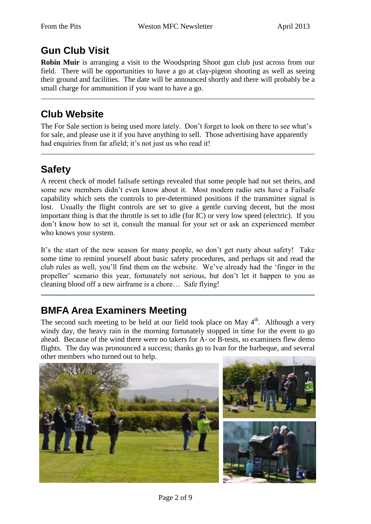# **Gun Club Visit**

**Robin Muir** is arranging a visit to the Woodspring Shoot gun club just across from our field. There will be opportunities to have a go at clay-pigeon shooting as well as seeing their ground and facilities. The date will be announced shortly and there will probably be a small charge for ammunition if you want to have a go.

### **Club Website**

The For Sale section is being used more lately. Don't forget to look on there to see what's for sale, and please use it if you have anything to sell. Those advertising have apparently had enquiries from far afield; it's not just us who read it!

# **Safety**

A recent check of model failsafe settings revealed that some people had not set theirs, and some new members didn't even know about it. Most modern radio sets have a Failsafe capability which sets the controls to pre-determined positions if the transmitter signal is lost. Usually the flight controls are set to give a gentle curving decent, but the most important thing is that the throttle is set to idle (for IC) or very low speed (electric). If you don't know how to set it, consult the manual for your set or ask an experienced member who knows your system.

It's the start of the new season for many people, so don't get rusty about safety! Take some time to remind yourself about basic safety procedures, and perhaps sit and read the club rules as well, you'll find them on the website. We've already had the 'finger in the propeller' scenario this year, fortunately not serious, but don't let it happen to you as cleaning blood off a new airframe is a chore… Safe flying!

# **BMFA Area Examiners Meeting**

The second such meeting to be held at our field took place on May  $4<sup>th</sup>$ . Although a very windy day, the heavy rain in the morning fortunately stopped in time for the event to go ahead. Because of the wind there were no takers for A- or B-tests, so examiners flew demo flights. The day was pronounced a success; thanks go to Ivan for the barbeque, and several other members who turned out to help.

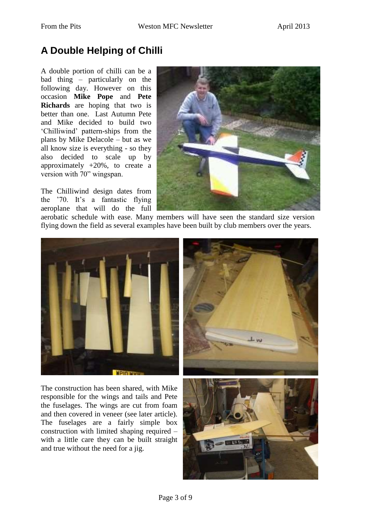# **A Double Helping of Chilli**

A double portion of chilli can be a bad thing – particularly on the following day. However on this occasion **Mike Pope** and **Pete Richards** are hoping that two is better than one. Last Autumn Pete and Mike decided to build two 'Chilliwind' pattern-ships from the plans by Mike Delacole – but as we all know size is everything - so they also decided to scale up by approximately +20%, to create a version with 70" wingspan.

The Chilliwind design dates from the '70. It's a fantastic flying aeroplane that will do the full



aerobatic schedule with ease. Many members will have seen the standard size version flying down the field as several examples have been built by club members over the years.



The construction has been shared, with Mike responsible for the wings and tails and Pete the fuselages. The wings are cut from foam and then covered in veneer (see later article). The fuselages are a fairly simple box construction with limited shaping required – with a little care they can be built straight and true without the need for a jig.



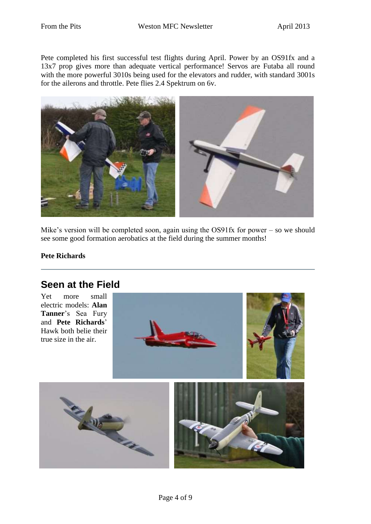Pete completed his first successful test flights during April. Power by an OS91fx and a 13x7 prop gives more than adequate vertical performance! Servos are Futaba all round with the more powerful 3010s being used for the elevators and rudder, with standard 3001s for the ailerons and throttle. Pete flies 2.4 Spektrum on 6v.



Mike's version will be completed soon, again using the OS91fx for power – so we should see some good formation aerobatics at the field during the summer months!

#### **Pete Richards**

### **Seen at the Field**

Yet more small electric models: **Alan Tanner**'s Sea Fury and **Pete Richards**' Hawk both belie their true size in the air.

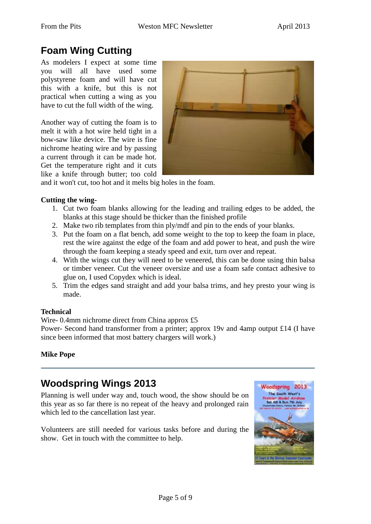# **Foam Wing Cutting**

As modelers I expect at some time you will all have used some polystyrene foam and will have cut this with a knife, but this is not practical when cutting a wing as you have to cut the full width of the wing.

Another way of cutting the foam is to melt it with a hot wire held tight in a bow-saw like device. The wire is fine nichrome heating wire and by passing a current through it can be made hot. Get the temperature right and it cuts like a knife through butter; too cold



and it won't cut, too hot and it melts big holes in the foam.

#### **Cutting the wing-**

- 1. Cut two foam blanks allowing for the leading and trailing edges to be added, the blanks at this stage should be thicker than the finished profile
- 2. Make two rib templates from thin ply/mdf and pin to the ends of your blanks.
- 3. Put the foam on a flat bench, add some weight to the top to keep the foam in place, rest the wire against the edge of the foam and add power to heat, and push the wire through the foam keeping a steady speed and exit, turn over and repeat.
- 4. With the wings cut they will need to be veneered, this can be done using thin balsa or timber veneer. Cut the veneer oversize and use a foam safe contact adhesive to glue on, I used Copydex which is ideal.
- 5. Trim the edges sand straight and add your balsa trims, and hey presto your wing is made.

#### **Technical**

Wire- 0.4mm nichrome direct from China approx £5

Power- Second hand transformer from a printer; approx 19v and 4amp output £14 (I have since been informed that most battery chargers will work.)

#### **Mike Pope**

# **Woodspring Wings 2013**

Planning is well under way and, touch wood, the show should be on this year as so far there is no repeat of the heavy and prolonged rain which led to the cancellation last year.

Volunteers are still needed for various tasks before and during the show. Get in touch with the committee to help.

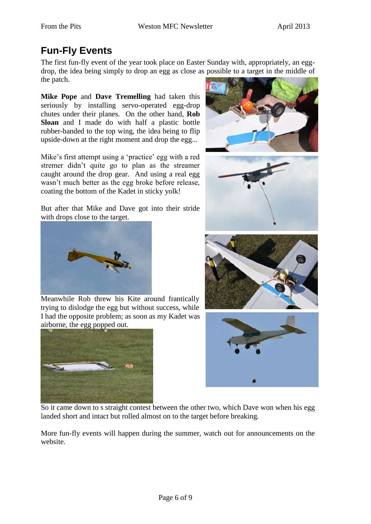# **Fun-Fly Events**

The first fun-fly event of the year took place on Easter Sunday with, appropriately, an eggdrop, the idea being simply to drop an egg as close as possible to a target in the middle of the patch.

**Mike Pope** and **Dave Tremelling** had taken this seriously by installing servo-operated egg-drop chutes under their planes. On the other hand, **Rob Sloan** and I made do with half a plastic bottle rubber-banded to the top wing, the idea being to flip upside-down at the right moment and drop the egg...

Mike's first attempt using a 'practice' egg with a red stremer didn't quite go to plan as the streamer caught around the drop gear. And using a real egg wasn't much better as the egg broke before release, coating the bottom of the Kadet in sticky yolk!

But after that Mike and Dave got into their stride with drops close to the target.



Meanwhile Rob threw his Kite around frantically trying to dislodge the egg but without success, while I had the opposite problem; as soon as my Kadet was airborne, the egg popped out.











So it came down to s straight contest between the other two, which Dave won when his egg landed short and intact but rolled almost on to the target before breaking.

More fun-fly events will happen during the summer, watch out for announcements on the website.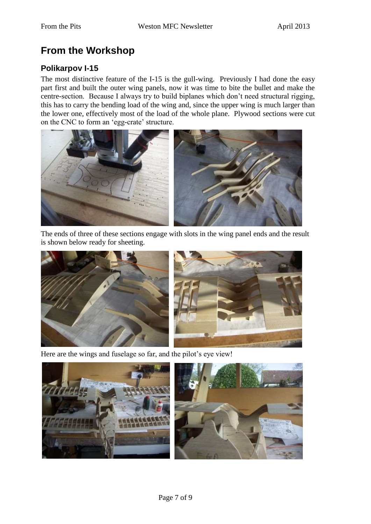# **From the Workshop**

### **Polikarpov I-15**

The most distinctive feature of the I-15 is the gull-wing. Previously I had done the easy part first and built the outer wing panels, now it was time to bite the bullet and make the centre-section. Because I always try to build biplanes which don't need structural rigging, this has to carry the bending load of the wing and, since the upper wing is much larger than the lower one, effectively most of the load of the whole plane. Plywood sections were cut on the CNC to form an 'egg-crate' structure.



The ends of three of these sections engage with slots in the wing panel ends and the result is shown below ready for sheeting.



Here are the wings and fuselage so far, and the pilot's eye view!

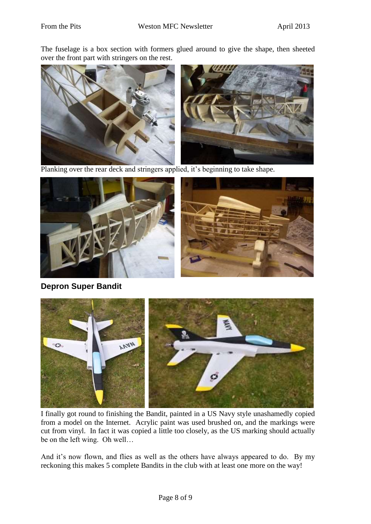The fuselage is a box section with formers glued around to give the shape, then sheeted over the front part with stringers on the rest.



Planking over the rear deck and stringers applied, it's beginning to take shape.



**Depron Super Bandit**



I finally got round to finishing the Bandit, painted in a US Navy style unashamedly copied from a model on the Internet. Acrylic paint was used brushed on, and the markings were cut from vinyl. In fact it was copied a little too closely, as the US marking should actually be on the left wing. Oh well…

And it's now flown, and flies as well as the others have always appeared to do. By my reckoning this makes 5 complete Bandits in the club with at least one more on the way!